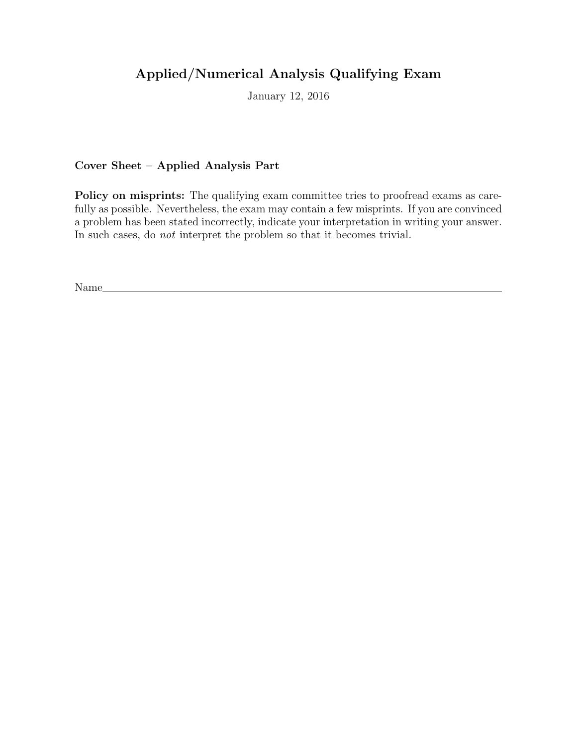# Applied/Numerical Analysis Qualifying Exam

January 12, 2016

Cover Sheet – Applied Analysis Part

Policy on misprints: The qualifying exam committee tries to proofread exams as carefully as possible. Nevertheless, the exam may contain a few misprints. If you are convinced a problem has been stated incorrectly, indicate your interpretation in writing your answer. In such cases, do not interpret the problem so that it becomes trivial.

Name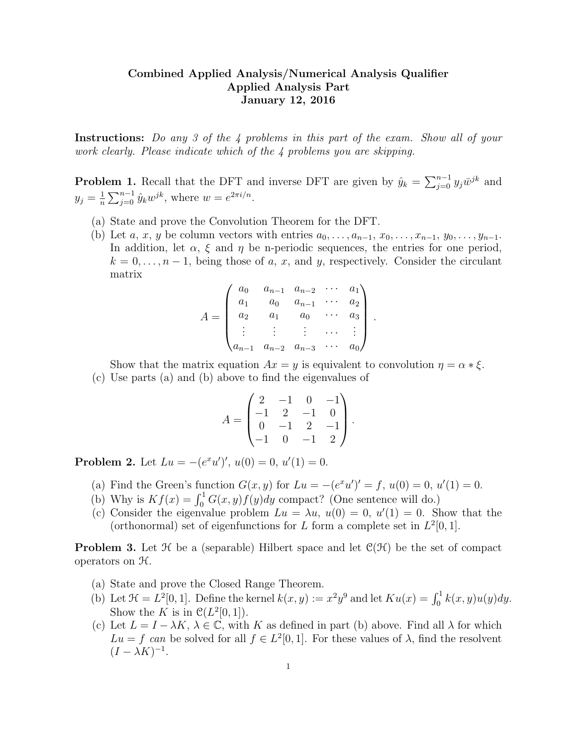### Combined Applied Analysis/Numerical Analysis Qualifier Applied Analysis Part January 12, 2016

Instructions: Do any 3 of the 4 problems in this part of the exam. Show all of your work clearly. Please indicate which of the 4 problems you are skipping.

**Problem 1.** Recall that the DFT and inverse DFT are given by  $\hat{y}_k = \sum_{j=0}^{n-1} y_j \bar{w}^{jk}$  and  $y_j = \frac{1}{n}$  $\frac{1}{n} \sum_{j=0}^{n-1} \hat{y}_k w^{jk}$ , where  $w = e^{2\pi i/n}$ .

- (a) State and prove the Convolution Theorem for the DFT.
- (b) Let a, x, y be column vectors with entries  $a_0, \ldots, a_{n-1}, x_0, \ldots, x_{n-1}, y_0, \ldots, y_{n-1}$ . In addition, let  $\alpha$ ,  $\xi$  and  $\eta$  be n-periodic sequences, the entries for one period,  $k = 0, \ldots, n-1$ , being those of a, x, and y, respectively. Consider the circulant matrix

$$
A = \begin{pmatrix} a_0 & a_{n-1} & a_{n-2} & \cdots & a_1 \\ a_1 & a_0 & a_{n-1} & \cdots & a_2 \\ a_2 & a_1 & a_0 & \cdots & a_3 \\ \vdots & \vdots & \vdots & \cdots & \vdots \\ a_{n-1} & a_{n-2} & a_{n-3} & \cdots & a_0 \end{pmatrix}
$$

.

Show that the matrix equation  $Ax = y$  is equivalent to convolution  $\eta = \alpha * \xi$ .

(c) Use parts (a) and (b) above to find the eigenvalues of

$$
A = \begin{pmatrix} 2 & -1 & 0 & -1 \\ -1 & 2 & -1 & 0 \\ 0 & -1 & 2 & -1 \\ -1 & 0 & -1 & 2 \end{pmatrix}.
$$

**Problem 2.** Let  $Lu = -(e^x u')', u(0) = 0, u'(1) = 0.$ 

- (a) Find the Green's function  $G(x, y)$  for  $Lu = -(e^x u')' = f, u(0) = 0, u'(1) = 0.$
- (b) Why is  $Kf(x) = \int_0^1 G(x, y)f(y)dy$  compact? (One sentence will do.)
- (c) Consider the eigenvalue problem  $Lu = \lambda u$ ,  $u(0) = 0$ ,  $u'(1) = 0$ . Show that the (orthonormal) set of eigenfunctions for L form a complete set in  $L^2[0,1]$ .

**Problem 3.** Let  $\mathcal{H}$  be a (separable) Hilbert space and let  $\mathcal{C}(\mathcal{H})$  be the set of compact operators on H.

- (a) State and prove the Closed Range Theorem.
- (b) Let  $\mathcal{H} = L^2[0,1]$ . Define the kernel  $k(x, y) := x^2y^9$  and let  $Ku(x) = \int_0^1 k(x, y)u(y)dy$ . Show the K is in  $\mathcal{C}(L^2[0,1])$ .
- (c) Let  $L = I \lambda K$ ,  $\lambda \in \mathbb{C}$ , with K as defined in part (b) above. Find all  $\lambda$  for which  $Lu = f$  can be solved for all  $f \in L^2[0,1]$ . For these values of  $\lambda$ , find the resolvent  $(I - \lambda K)^{-1}$ .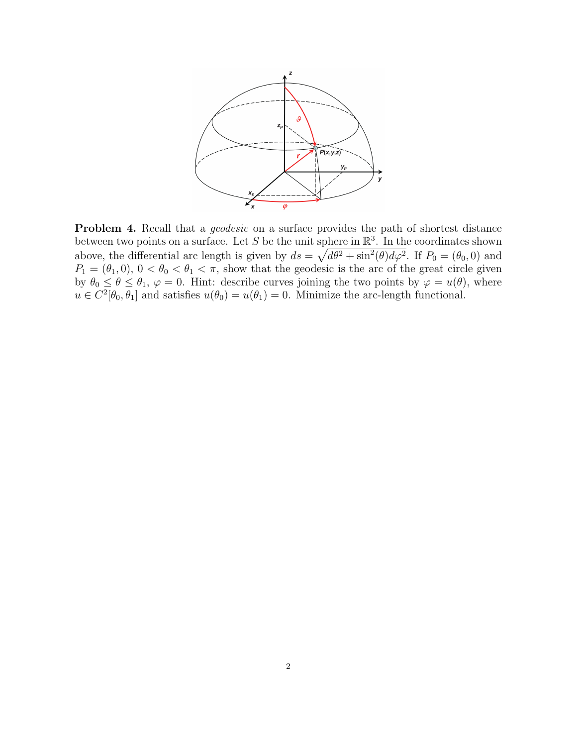

Problem 4. Recall that a *geodesic* on a surface provides the path of shortest distance between two points on a surface. Let S be the unit sphere in  $\mathbb{R}^3$ . In the coordinates shown above, the differential arc length is given by  $ds = \sqrt{d\theta^2 + \sin^2(\theta)d\varphi^2}$ . If  $P_0 = (\theta_0, 0)$  and  $P_1 = (\theta_1, 0), 0 < \theta_0 < \theta_1 < \pi$ , show that the geodesic is the arc of the great circle given by  $\theta_0 \le \theta \le \theta_1$ ,  $\varphi = 0$ . Hint: describe curves joining the two points by  $\varphi = u(\theta)$ , where  $u \in C^2[\theta_0, \theta_1]$  and satisfies  $u(\theta_0) = u(\theta_1) = 0$ . Minimize the arc-length functional.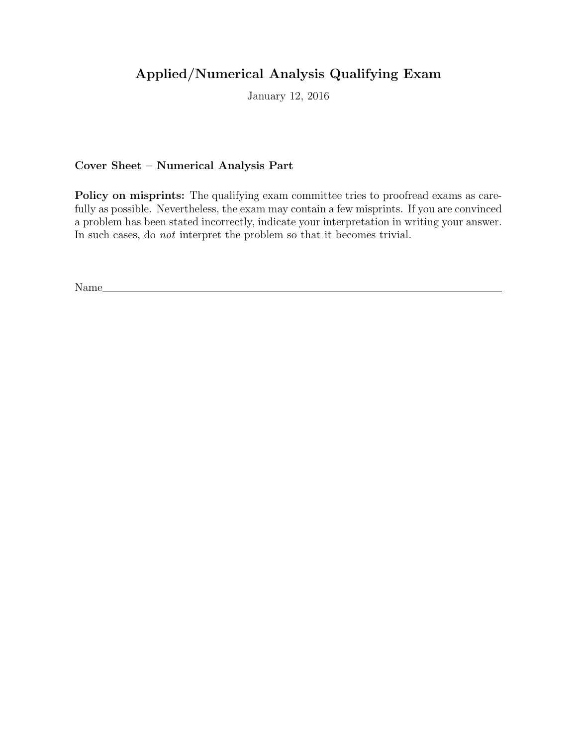# Applied/Numerical Analysis Qualifying Exam

January 12, 2016

Cover Sheet – Numerical Analysis Part

Policy on misprints: The qualifying exam committee tries to proofread exams as carefully as possible. Nevertheless, the exam may contain a few misprints. If you are convinced a problem has been stated incorrectly, indicate your interpretation in writing your answer. In such cases, do not interpret the problem so that it becomes trivial.

Name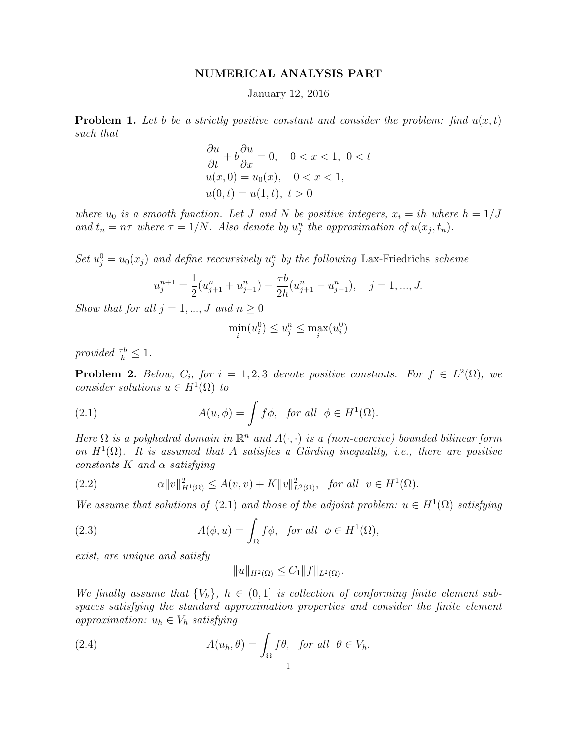### NUMERICAL ANALYSIS PART

### January 12, 2016

**Problem 1.** Let b be a strictly positive constant and consider the problem: find  $u(x,t)$ such that

$$
\frac{\partial u}{\partial t} + b \frac{\partial u}{\partial x} = 0, \quad 0 < x < 1, \ 0 < t
$$
\n
$$
u(x, 0) = u_0(x), \quad 0 < x < 1,
$$
\n
$$
u(0, t) = u(1, t), \ t > 0
$$

where  $u_0$  is a smooth function. Let J and N be positive integers,  $x_i = ih$  where  $h = 1/J$ and  $t_n = n\tau$  where  $\tau = 1/N$ . Also denote by  $u_j^n$  the approximation of  $u(x_j, t_n)$ .

Set  $u_j^0 = u_0(x_j)$  and define reccursively  $u_j^n$  by the following Lax-Friedrichs scheme

$$
u_j^{n+1} = \frac{1}{2}(u_{j+1}^n + u_{j-1}^n) - \frac{\tau b}{2h}(u_{j+1}^n - u_{j-1}^n), \quad j = 1, ..., J.
$$

Show that for all  $j = 1, ..., J$  and  $n \geq 0$ 

$$
\min_i(u_i^0) \le u_j^n \le \max_i(u_i^0)
$$

provided  $\frac{\tau b}{h} \leq 1$ .

**Problem 2.** Below,  $C_i$ , for  $i = 1, 2, 3$  denote positive constants. For  $f \in L^2(\Omega)$ , we consider solutions  $u \in H^1(\Omega)$  to

(2.1) 
$$
A(u, \phi) = \int f\phi, \text{ for all } \phi \in H^{1}(\Omega).
$$

Here  $\Omega$  is a polyhedral domain in  $\mathbb{R}^n$  and  $A(\cdot, \cdot)$  is a (non-coercive) bounded bilinear form on  $H^1(\Omega)$ . It is assumed that A satisfies a Gärding inequality, i.e., there are positive constants  $K$  and  $\alpha$  satisfying

(2.2) 
$$
\alpha \|v\|_{H^1(\Omega)}^2 \le A(v,v) + K \|v\|_{L^2(\Omega)}^2, \text{ for all } v \in H^1(\Omega).
$$

We assume that solutions of (2.1) and those of the adjoint problem:  $u \in H^1(\Omega)$  satisfying

(2.3) 
$$
A(\phi, u) = \int_{\Omega} f\phi, \text{ for all } \phi \in H^{1}(\Omega),
$$

exist, are unique and satisfy

$$
||u||_{H^2(\Omega)} \le C_1 ||f||_{L^2(\Omega)}.
$$

We finally assume that  $\{V_h\}$ ,  $h \in (0,1]$  is collection of conforming finite element subspaces satisfying the standard approximation properties and consider the finite element approximation:  $u_h \in V_h$  satisfying

(2.4) 
$$
A(u_h, \theta) = \int_{\Omega} f\theta, \text{ for all } \theta \in V_h.
$$